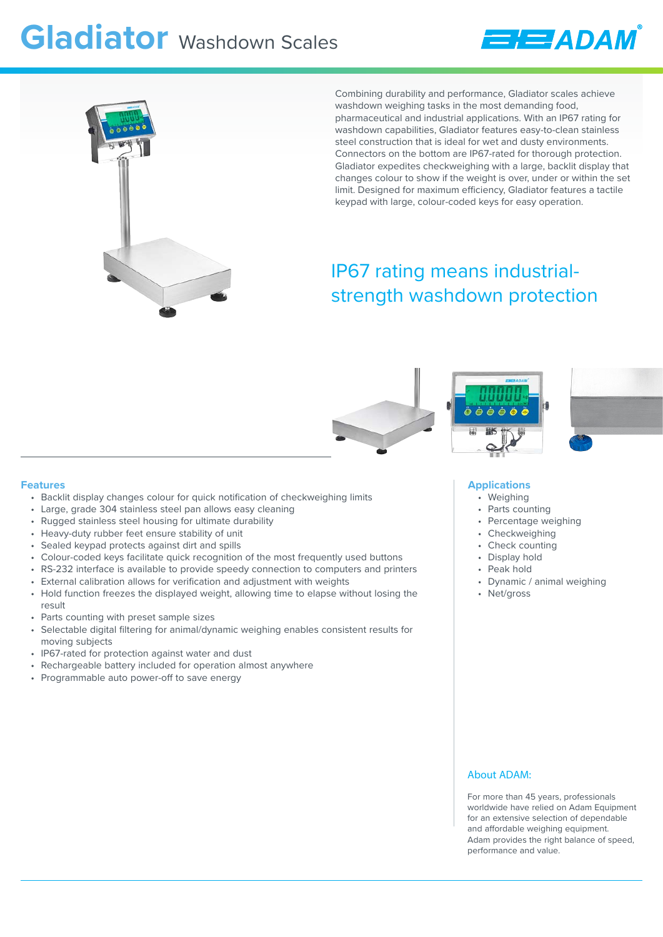# **Gladiator** Washdown Scales





Combining durability and performance, Gladiator scales achieve washdown weighing tasks in the most demanding food, pharmaceutical and industrial applications. With an IP67 rating for washdown capabilities, Gladiator features easy-to-clean stainless steel construction that is ideal for wet and dusty environments. Connectors on the bottom are IP67-rated for thorough protection. Gladiator expedites checkweighing with a large, backlit display that changes colour to show if the weight is over, under or within the set limit. Designed for maximum efficiency, Gladiator features a tactile keypad with large, colour-coded keys for easy operation.

## IP67 rating means industrialstrength washdown protection





### **Applications**

- Weighing
- Parts counting
- Percentage weighing
- Checkweighing
- Check counting
- Display hold
- Peak hold
- Dynamic / animal weighing
- Net/gross

### About ADAM:

For more than 45 years, professionals worldwide have relied on Adam Equipment for an extensive selection of dependable and affordable weighing equipment. Adam provides the right balance of speed, performance and value.

### **Features**

- Backlit display changes colour for quick notification of checkweighing limits
- Large, grade 304 stainless steel pan allows easy cleaning
- Rugged stainless steel housing for ultimate durability
- Heavy-duty rubber feet ensure stability of unit
- Sealed keypad protects against dirt and spills
- Colour-coded keys facilitate quick recognition of the most frequently used buttons
- RS-232 interface is available to provide speedy connection to computers and printers
- External calibration allows for verification and adjustment with weights
- Hold function freezes the displayed weight, allowing time to elapse without losing the result
- Parts counting with preset sample sizes
- Selectable digital filtering for animal/dynamic weighing enables consistent results for moving subjects
- IP67-rated for protection against water and dust
- Rechargeable battery included for operation almost anywhere
- Programmable auto power-off to save energy